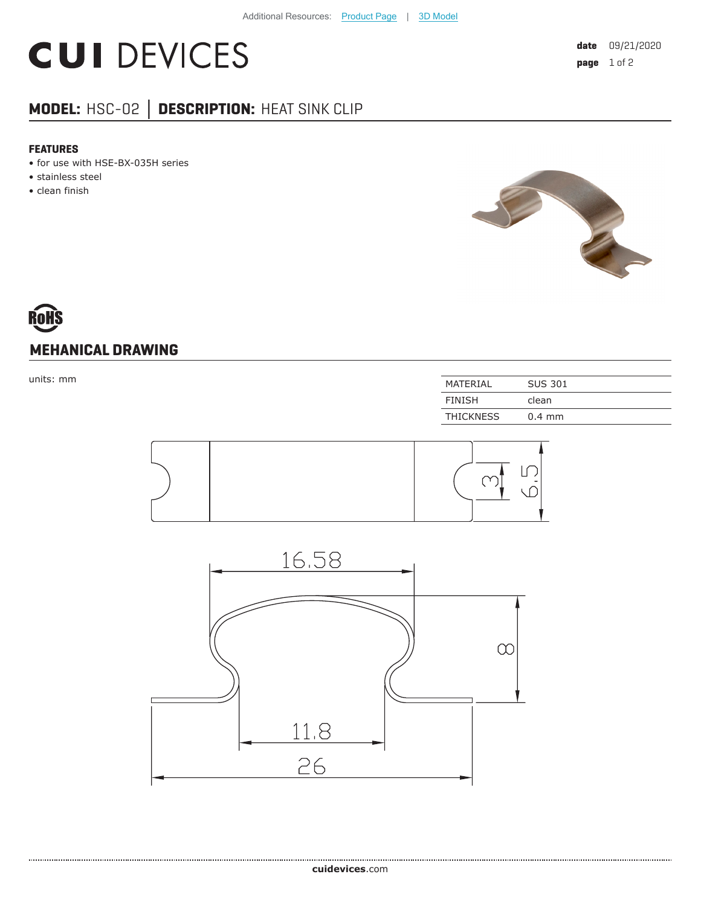## **CUI DEVICES**

### **MODEL:** HSC-02 **│ DESCRIPTION:** HEAT SINK CLIP

#### **FEATURES**

- for use with HSE-BX-035H series
- stainless steel
- clean finish



# **MEHANICAL DRAWING**

| MATERIAL         | <b>SUS 301</b> |
|------------------|----------------|
| <b>FINISH</b>    | clean          |
| <b>THICKNESS</b> | $0.4$ mm       |